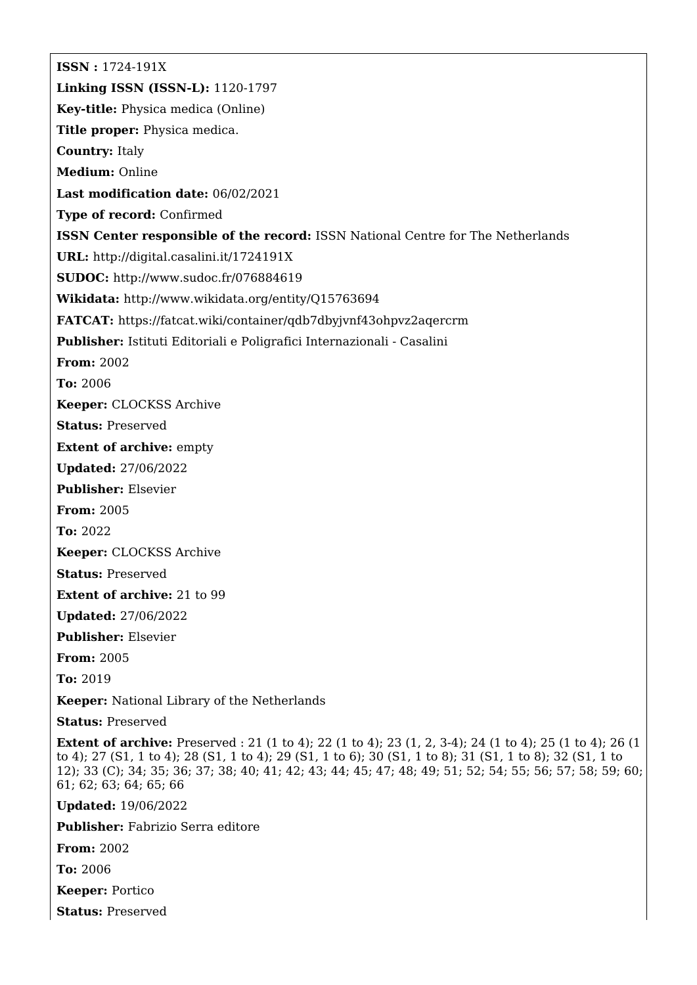**ISSN :** 1724-191X **Linking ISSN (ISSN-L):** 1120-1797 **Key-title:** Physica medica (Online) **Title proper:** Physica medica. **Country:** Italy **Medium:** Online **Last modification date:** 06/02/2021 **Type of record:** Confirmed **ISSN Center responsible of the record:** ISSN National Centre for The Netherlands **URL:** <http://digital.casalini.it/1724191X> **SUDOC:** <http://www.sudoc.fr/076884619> **Wikidata:** <http://www.wikidata.org/entity/Q15763694> **FATCAT:** <https://fatcat.wiki/container/qdb7dbyjvnf43ohpvz2aqercrm> **Publisher:** Istituti Editoriali e Poligrafici Internazionali - Casalini **From:** 2002 **To:** 2006 **Keeper:** CLOCKSS Archive **Status:** Preserved **Extent of archive:** empty **Updated:** 27/06/2022 **Publisher:** Elsevier **From:** 2005 **To:** 2022 **Keeper:** CLOCKSS Archive **Status:** Preserved **Extent of archive:** 21 to 99 **Updated:** 27/06/2022 **Publisher:** Elsevier **From:** 2005 **To:** 2019 **Keeper:** National Library of the Netherlands **Status:** Preserved **Extent of archive:** Preserved : 21 (1 to 4); 22 (1 to 4); 23 (1, 2, 3-4); 24 (1 to 4); 25 (1 to 4); 26 (1 to 4); 27 (S1, 1 to 4); 28 (S1, 1 to 4); 29 (S1, 1 to 6); 30 (S1, 1 to 8); 31 (S1, 1 to 8); 32 (S1, 1 to 12); 33 (C); 34; 35; 36; 37; 38; 40; 41; 42; 43; 44; 45; 47; 48; 49; 51; 52; 54; 55; 56; 57; 58; 59; 60; 61; 62; 63; 64; 65; 66 **Updated:** 19/06/2022

**Publisher:** Fabrizio Serra editore

**From:** 2002

**To:** 2006

**Keeper:** Portico

**Status:** Preserved